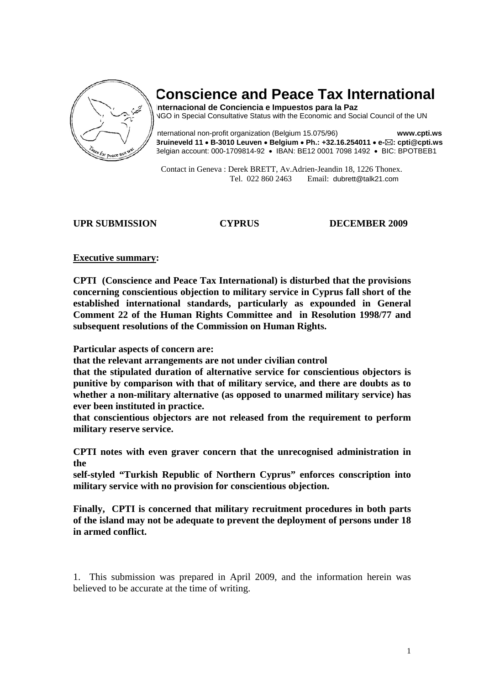

# **Conscience and Peace Tax International**

**Internacional de Conciencia e Impuestos para la Paz**  NGO in Special Consultative Status with the Economic and Social Council of the UN

International non-profit organization (Belgium 15.075/96) **www.cpti.ws Bruineveld 11** • **B-3010 Leuven** • **Belgium** • **Ph.: +32.16.254011** • **e- : cpti@cpti.ws**  Belgian account: 000-1709814-92 • IBAN: BE12 0001 7098 1492 • BIC: BPOTBEB1

 Contact in Geneva : Derek BRETT, Av.Adrien-Jeandin 18, 1226 Thonex. Tel. 022 860 2463 Email: dubrett@talk21.com

### **UPR SUBMISSION CYPRUS DECEMBER 2009**

### **Executive summary:**

**CPTI (Conscience and Peace Tax International) is disturbed that the provisions concerning conscientious objection to military service in Cyprus fall short of the established international standards, particularly as expounded in General Comment 22 of the Human Rights Committee and in Resolution 1998/77 and subsequent resolutions of the Commission on Human Rights.** 

**Particular aspects of concern are:** 

**that the relevant arrangements are not under civilian control** 

**that the stipulated duration of alternative service for conscientious objectors is punitive by comparison with that of military service, and there are doubts as to whether a non-military alternative (as opposed to unarmed military service) has ever been instituted in practice.** 

**that conscientious objectors are not released from the requirement to perform military reserve service.** 

**CPTI notes with even graver concern that the unrecognised administration in the** 

**self-styled "Turkish Republic of Northern Cyprus" enforces conscription into military service with no provision for conscientious objection.** 

**Finally, CPTI is concerned that military recruitment procedures in both parts of the island may not be adequate to prevent the deployment of persons under 18 in armed conflict.**

1. This submission was prepared in April 2009, and the information herein was believed to be accurate at the time of writing.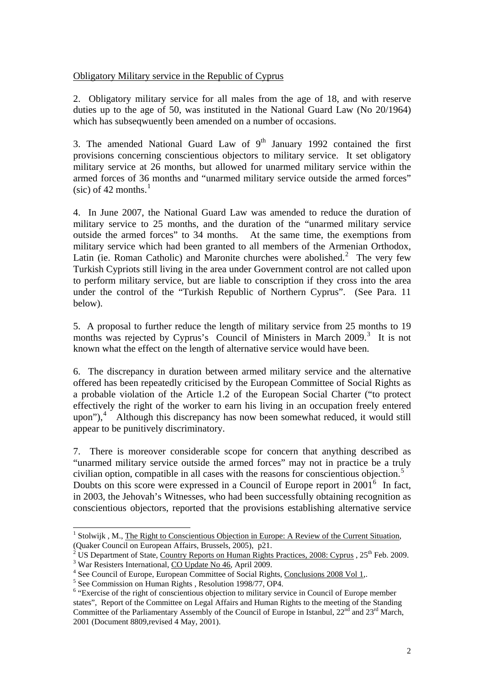## Obligatory Military service in the Republic of Cyprus

2. Obligatory military service for all males from the age of 18, and with reserve duties up to the age of 50, was instituted in the National Guard Law (No 20/1964) which has subsequatively been amended on a number of occasions.

3. The amended National Guard Law of  $9<sup>th</sup>$  January 1992 contained the first provisions concerning conscientious objectors to military service. It set obligatory military service at 26 months, but allowed for unarmed military service within the armed forces of 36 months and "unarmed military service outside the armed forces" (sic) of 42 months. $<sup>1</sup>$  $<sup>1</sup>$  $<sup>1</sup>$ </sup>

4. In June 2007, the National Guard Law was amended to reduce the duration of military service to 25 months, and the duration of the "unarmed military service outside the armed forces" to 34 months. At the same time, the exemptions from military service which had been granted to all members of the Armenian Orthodox, Latin (ie. Roman Catholic) and Maronite churches were abolished.<sup>[2](#page-1-1)</sup> The very few Turkish Cypriots still living in the area under Government control are not called upon to perform military service, but are liable to conscription if they cross into the area under the control of the "Turkish Republic of Northern Cyprus". (See Para. 11 below).

5. A proposal to further reduce the length of military service from 25 months to 19 months was rejected by Cyprus's Council of Ministers in March 2009.<sup>[3](#page-1-2)</sup> It is not known what the effect on the length of alternative service would have been.

6. The discrepancy in duration between armed military service and the alternative offered has been repeatedly criticised by the European Committee of Social Rights as a probable violation of the Article 1.2 of the European Social Charter ("to protect effectively the right of the worker to earn his living in an occupation freely entered upon"), $4$  Although this discrepancy has now been somewhat reduced, it would still appear to be punitively discriminatory.

7. There is moreover considerable scope for concern that anything described as "unarmed military service outside the armed forces" may not in practice be a truly civilian option, compatible in all cases with the reasons for conscientious objection.<sup>[5](#page-1-4)</sup> Doubts on this score were expressed in a Council of Europe report in  $2001^6$  $2001^6$  In fact, in 2003, the Jehovah's Witnesses, who had been successfully obtaining recognition as conscientious objectors, reported that the provisions establishing alternative service

 $\overline{a}$ 

<span id="page-1-0"></span><sup>&</sup>lt;sup>1</sup> Stolwijk, M., The Right to Conscientious Objection in Europe: A Review of the Current Situation,

<sup>(</sup>Quaker Council on European Affairs, Brussels, 2005), p21.<br>
<sup>2</sup> US Department of State, Country Reports on Human Rights Practices, 2008: Cyprus , 25<sup>th</sup> Feb. 2009.

<span id="page-1-2"></span><span id="page-1-1"></span><sup>&</sup>lt;sup>3</sup> War Resisters International, CO Update No 46, April 2009.

<span id="page-1-3"></span><sup>&</sup>lt;sup>4</sup> See Council of Europe, European Committee of Social Rights, Conclusions 2008 Vol 1,.

<span id="page-1-4"></span><sup>&</sup>lt;sup>5</sup> See Commission on Human Rights , Resolution 1998/77, OP4.

<span id="page-1-5"></span><sup>&</sup>lt;sup>6</sup> "Exercise of the right of conscientious objection to military service in Council of Europe member states", Report of the Committee on Legal Affairs and Human Rights to the meeting of the Standing Committee of the Parliamentary Assembly of the Council of Europe in Istanbul,  $22<sup>nd</sup>$  and  $23<sup>rd</sup>$  March, 2001 (Document 8809,revised 4 May, 2001).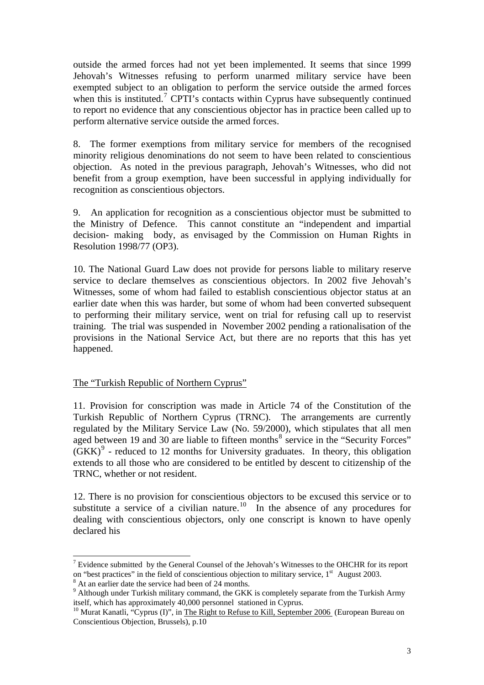outside the armed forces had not yet been implemented. It seems that since 1999 Jehovah's Witnesses refusing to perform unarmed military service have been exempted subject to an obligation to perform the service outside the armed forces when this is instituted.<sup>[7](#page-2-0)</sup> CPTI's contacts within Cyprus have subsequently continued to report no evidence that any conscientious objector has in practice been called up to perform alternative service outside the armed forces.

8. The former exemptions from military service for members of the recognised minority religious denominations do not seem to have been related to conscientious objection. As noted in the previous paragraph, Jehovah's Witnesses, who did not benefit from a group exemption, have been successful in applying individually for recognition as conscientious objectors.

9. An application for recognition as a conscientious objector must be submitted to the Ministry of Defence. This cannot constitute an "independent and impartial decision- making body, as envisaged by the Commission on Human Rights in Resolution 1998/77 (OP3).

10. The National Guard Law does not provide for persons liable to military reserve service to declare themselves as conscientious objectors. In 2002 five Jehovah's Witnesses, some of whom had failed to establish conscientious objector status at an earlier date when this was harder, but some of whom had been converted subsequent to performing their military service, went on trial for refusing call up to reservist training. The trial was suspended in November 2002 pending a rationalisation of the provisions in the National Service Act, but there are no reports that this has yet happened.

# The "Turkish Republic of Northern Cyprus"

11. Provision for conscription was made in Article 74 of the Constitution of the Turkish Republic of Northern Cyprus (TRNC). The arrangements are currently regulated by the Military Service Law (No. 59/2000), which stipulates that all men aged between 19 and 30 are liable to fifteen months $8$  service in the "Security Forces"  $(GKK)^9$  $(GKK)^9$  - reduced to 12 months for University graduates. In theory, this obligation extends to all those who are considered to be entitled by descent to citizenship of the TRNC, whether or not resident.

12. There is no provision for conscientious objectors to be excused this service or to substitute a service of a civilian nature.<sup>[10](#page-2-3)</sup> In the absence of any procedures for dealing with conscientious objectors, only one conscript is known to have openly declared his

 $\overline{a}$ 

<span id="page-2-0"></span><sup>&</sup>lt;sup>7</sup> Evidence submitted by the General Counsel of the Jehovah's Witnesses to the OHCHR for its report on "best practices" in the field of conscientious objection to military service, 1<sup>st</sup> August 2003.

<span id="page-2-1"></span><sup>&</sup>lt;sup>8</sup> At an earlier date the service had been of 24 months.

<span id="page-2-2"></span> $9$  Although under Turkish military command, the GKK is completely separate from the Turkish Army itself, which has approximately 40,000 personnel stationed in Cyprus.

<span id="page-2-3"></span><sup>&</sup>lt;sup>10</sup> Murat Kanatli, "Cyprus (I)", in <u>The Right to Refuse to Kill, September 2006</u> (European Bureau on Conscientious Objection, Brussels), p.10